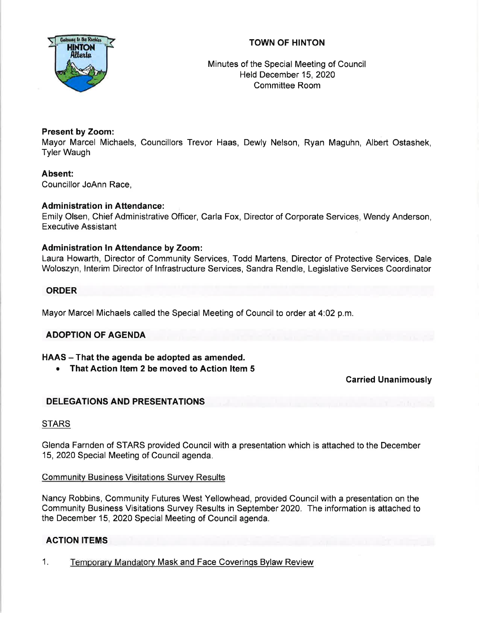# TOWN OF HINTON



Minutes of the Special Meeting of Council Held December 15,2020 Committee Room

## Present by Zoom:

Mayor Marcel Michaels, Councillors Trevor Haas, Dewly Nelson, Ryan Maguhn, Albert Ostashek, Tyler Waugh

Absent: Councillor JoAnn Race,

#### **Administration in Attendance:**

Emily Olsen, Chief Administrative Officer, Carla Fox, Director of Corporate Services, Wendy Anderson, Executive Assistant

#### Administration ln Attendance by Zoom:

Laura Howarth, Director of Community Services, Todd Martens, Director of Protective Services, Dale Woloszyn, lnterim Director of lnfrastructure Services, Sandra Rendle, Legislative Services Coordinator

#### ORDER

Mayor Marcel Michaels called the Special Meeting of Council to order at 4:02 p.m.

## ADOPTION OF AGENDA

## HAAS - That the agenda be adopted as amended.

• That Action Item 2 be moved to Action Item 5

Garried Unanimously

## DELEGATIONS AND PRESENTATIONS

## **STARS**

Glenda Farnden of STARS provided Council with a presentation which is attached to the December 15,2Q20 Special Meeting of Council agenda.

#### Communitv Business Visitations Survev Results

Nancy Robbins, Community Futures West Yellowhead, provided Council with a presentation on the Community Business Visitations Survey Results in September 2020. The information is attached to the December 15, 2020 Special Meeting of Council agenda.

## ACTION ITEMS

1. Temporary Mandatory Mask and Face Coverinqs Bylaw Review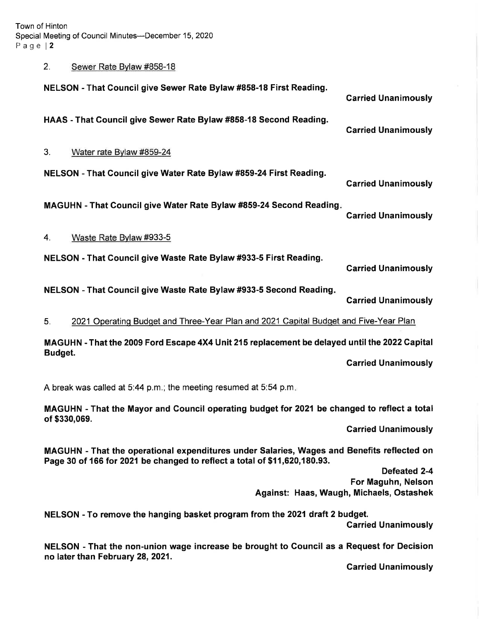Town of Hinton Special Meeting of Council Minutes-December 15,2020 Page  $|2$ 

# 2. Sewer Rate Bvlaw #858-18

| NELSON - That Council give Sewer Rate Bylaw #858-18 First Reading.                                                                                                      | <b>Carried Unanimously</b>                                                            |
|-------------------------------------------------------------------------------------------------------------------------------------------------------------------------|---------------------------------------------------------------------------------------|
| HAAS - That Council give Sewer Rate Bylaw #858-18 Second Reading.                                                                                                       | <b>Carried Unanimously</b>                                                            |
| 3.<br>Water rate Bylaw #859-24                                                                                                                                          |                                                                                       |
| NELSON - That Council give Water Rate Bylaw #859-24 First Reading.                                                                                                      | <b>Carried Unanimously</b>                                                            |
| MAGUHN - That Council give Water Rate Bylaw #859-24 Second Reading.                                                                                                     | <b>Carried Unanimously</b>                                                            |
| Waste Rate Bylaw #933-5<br>4.                                                                                                                                           |                                                                                       |
| NELSON - That Council give Waste Rate Bylaw #933-5 First Reading.                                                                                                       | <b>Carried Unanimously</b>                                                            |
| NELSON - That Council give Waste Rate Bylaw #933-5 Second Reading.                                                                                                      | <b>Carried Unanimously</b>                                                            |
| 2021 Operating Budget and Three-Year Plan and 2021 Capital Budget and Five-Year Plan<br>5.                                                                              |                                                                                       |
| MAGUHN - That the 2009 Ford Escape 4X4 Unit 215 replacement be delayed until the 2022 Capital<br>Budget.                                                                |                                                                                       |
|                                                                                                                                                                         | <b>Carried Unanimously</b>                                                            |
| A break was called at 5:44 p.m.; the meeting resumed at 5:54 p.m.                                                                                                       |                                                                                       |
| MAGUHN - That the Mayor and Council operating budget for 2021 be changed to reflect a total                                                                             |                                                                                       |
| of \$330,069.                                                                                                                                                           | <b>Carried Unanimously</b>                                                            |
| MAGUHN - That the operational expenditures under Salaries, Wages and Benefits reflected on<br>Page 30 of 166 for 2021 be changed to reflect a total of \$11,620,180.93. |                                                                                       |
|                                                                                                                                                                         | <b>Defeated 2-4</b><br>For Maguhn, Nelson<br>Against: Haas, Waugh, Michaels, Ostashek |
| NELSON - To remove the hanging basket program from the 2021 draft 2 budget.<br><b>Carried Unanimously</b>                                                               |                                                                                       |
| NELSON - That the non-union wage increase be brought to Council as a Request for Decision<br>no later than February 28, 2021.                                           |                                                                                       |
|                                                                                                                                                                         | <b>Carried Unanimously</b>                                                            |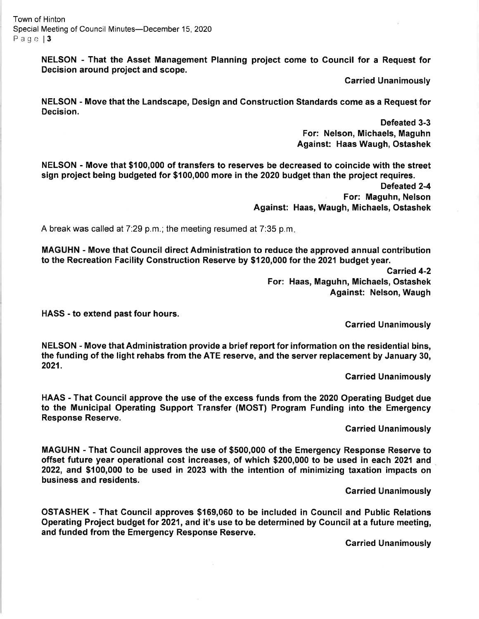Town of Hinton Special Meeting of Council Minutes-December 15, 2020 Page | 3

> NELSON - That the Asset Management Planning project come to Gouncil for a Request for Decision around project and scope.

> > Garried Unanimously

NELSON - Move that the Landscape, Design and Construction Standards come as a Request for Decision.

> Defeated 3-3 For: Nelson, Michaels, Maguhn Against: Haas Waugh, Ostashek

NELSON - Move that \$100,000 of transfers to reserves be decreased to coincide with the street sign project being budgeted for \$100,000 more in the 2020 budget than the project requires.

> Defeated 2-4 For: Maguhn, Nelson Against: Haas, Waugh, Michaels, Ostashek

A break was called at 7:29 p.m.; the meeting resumed at 7:35 p.m.

MAGUHN - Move that Council direct Administration to reduce the approved annual contribution to the Recreation Facility Construction Reserve by \$t 20,000 for the 2021 budget year.

> Carried 4-2 For: Haas, Maguhn, Michaels, Ostashek Against: Nelson, Waugh

HASS - to extend past four hours.

Carried Unanimously

NELSON - Move that Administration provide a brief report for information on the residential bins, the funding of the light rehabs from the ATE reserve, and the server replacement by January 30, 2021.

Garried Unanimously

HAAS - That Council approve the use of the excess funds from the 2020 Operating Budget due to the Municipal Operating Support Transfer (MOST) Program Funding into the Emergency Response Reserve.

Carried Unanimously

MAGUHN - That Council approves the use of \$500,000 of the Emergency Response Reserve to offset future year operational cost increases, of which \$200,000 to be used in each 2021 and 2022, and \$100,000 to be used in 2023 with the intention of minimizing taxation impacts on business and residents.

Garried Unanimously

OSTASHEK - That Council approves \$169,060 to be included in Gouncil and Public Relations Operating Project budget tor 2021, and it's use to be determined by Council at a future meeting, and funded from the Emergency Response Reserve.

Carried Unanimously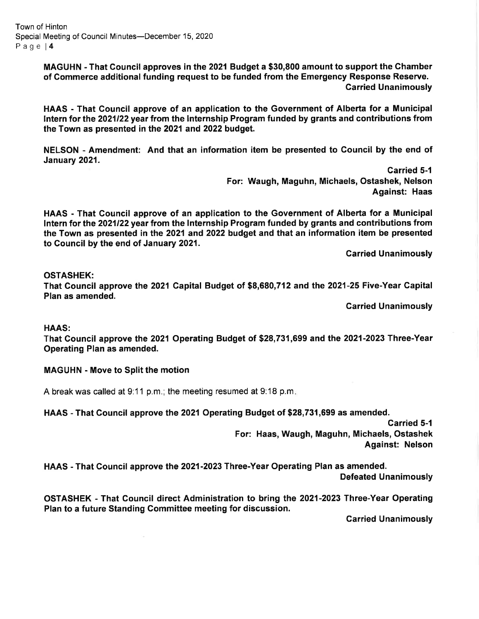Town of Hinton Special Meeting of Council Minutes-December 15, 2020 Page l4

> MAGUHN - That Gouncil approves in the 2021 Budget a \$30,800 amount to support the Chamber of Gommerce additional funding request to be funded from the Emergency Response Reserye. Garried Unanimously

> HAAS - That Gouncil approve of an application to the Government of Alberta for a Municipal lntern for the 2021122 year from the lnternship Program funded by grants and contributions from the Town as presented in the 2021 and 2022 budget.

> NELSON - Amendment: And that an information item be presented to Council by the end of January 2021.

> > Carried 5-1 For: Waugh, Maguhn, Michaels, Ostashek, Nelson Against: Haas

HAAS - That Gouncil approve of an application to the Government of Alberta for a Municipal <sup>f</sup>ntern for the 2021122 year from the lnternship Program funded by grants and contributions from the Town as presented in the 2021 and 2022 budget and that an information item be presented to Council by the end of January 2021.

Garried Unanimously

#### OSTASHEK:

That Council approve the 2021 Gapital Budget of \$8,680,712 and the 2021-25 Five-Year Gapital Plan as amended.

Garried Unanimously

HAAS:

That Council approve the 2021 Operating Budget of \$28,731,699 and the 2021-2023 Three-Year Operating Plan as amended.

#### MAGUHN - Move to Split the motion

A break was called at 9:11 p.m.; the meeting resumed at 9:18 p.m

HAAS - That Council approve the 2021Operating Budget of \$28,731,699 as amended.

Carried 5-1 For: Haas, Waugh, Maguhn, Michaels, Ostashek Against: Nelson

HAAS - That Council approve the 2021-2023 Three-Year Operating Plan as amended. Defeated Unanimously

OSTASHEK - That Gouncil direct Administration to bring the 2021-2023 Three-Year Operating Plan to a future Standing Committee meeting for discussion.

Carried Unanimously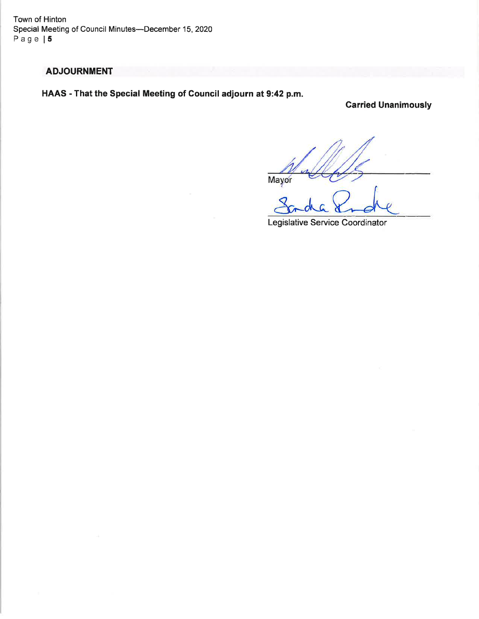Town of Hinton Special Meeting of Council Minutes--December 15, 2020 Page | 5

# ADJOURNMENT

HAAS - That the Special Meeting of Council adjourn at 9:42 p.m.

Garried Unanimously

Mayor

Legislative Service Coordinator